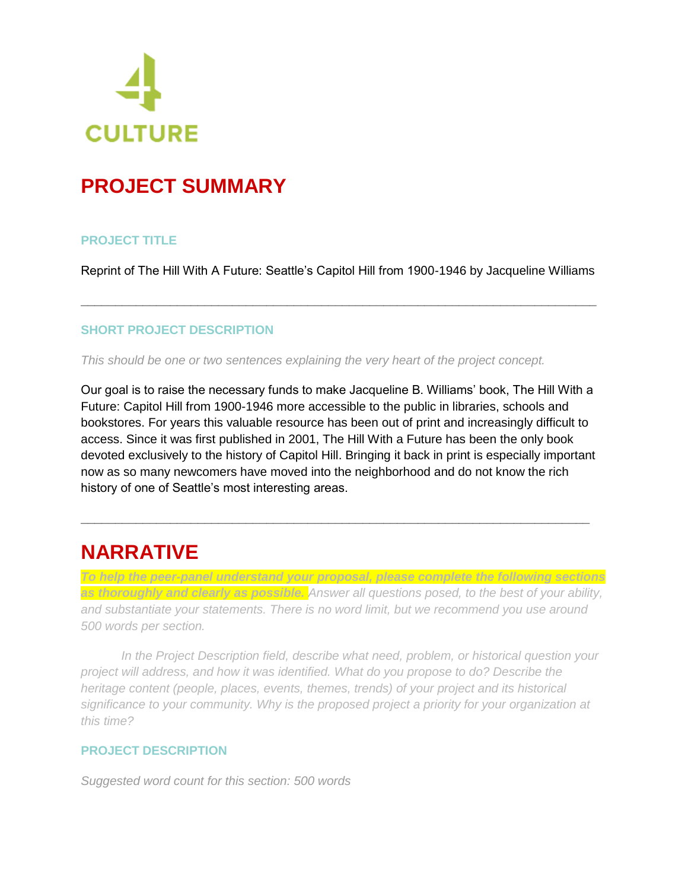

# **PROJECT SUMMARY**

## **PROJECT TITLE**

Reprint of The Hill With A Future: Seattle's Capitol Hill from 1900-1946 by Jacqueline Williams

**\_\_\_\_\_\_\_\_\_\_\_\_\_\_\_\_\_\_\_\_\_\_\_\_\_\_\_\_\_\_\_\_\_\_\_\_\_\_\_\_\_\_\_\_\_\_\_\_\_\_\_\_\_\_\_\_\_\_\_\_\_\_\_\_\_\_\_\_\_\_\_\_\_\_\_**

## **SHORT PROJECT DESCRIPTION**

*This should be one or two sentences explaining the very heart of the project concept.*

Our goal is to raise the necessary funds to make Jacqueline B. Williams' book, The Hill With a Future: Capitol Hill from 1900-1946 more accessible to the public in libraries, schools and bookstores. For years this valuable resource has been out of print and increasingly difficult to access. Since it was first published in 2001, The Hill With a Future has been the only book devoted exclusively to the history of Capitol Hill. Bringing it back in print is especially important now as so many newcomers have moved into the neighborhood and do not know the rich history of one of Seattle's most interesting areas.

**\_\_\_\_\_\_\_\_\_\_\_\_\_\_\_\_\_\_\_\_\_\_\_\_\_\_\_\_\_\_\_\_\_\_\_\_\_\_\_\_\_\_\_\_\_\_\_\_\_\_\_\_\_\_\_\_\_\_\_\_\_\_\_\_\_\_\_\_\_\_\_\_\_\_**

# **NARRATIVE**

*as thoroughly and clearly as possible. Answer all questions posed, to the best of your ability, and substantiate your statements. There is no word limit, but we recommend you use around 500 words per section.*

*To help the peer-panel understand your proposal, please complete the following sections* 

*In the Project Description field, describe what need, problem, or historical question your project will address, and how it was identified. What do you propose to do? Describe the heritage content (people, places, events, themes, trends) of your project and its historical significance to your community. Why is the proposed project a priority for your organization at this time?*

## **PROJECT DESCRIPTION**

*Suggested word count for this section: 500 words*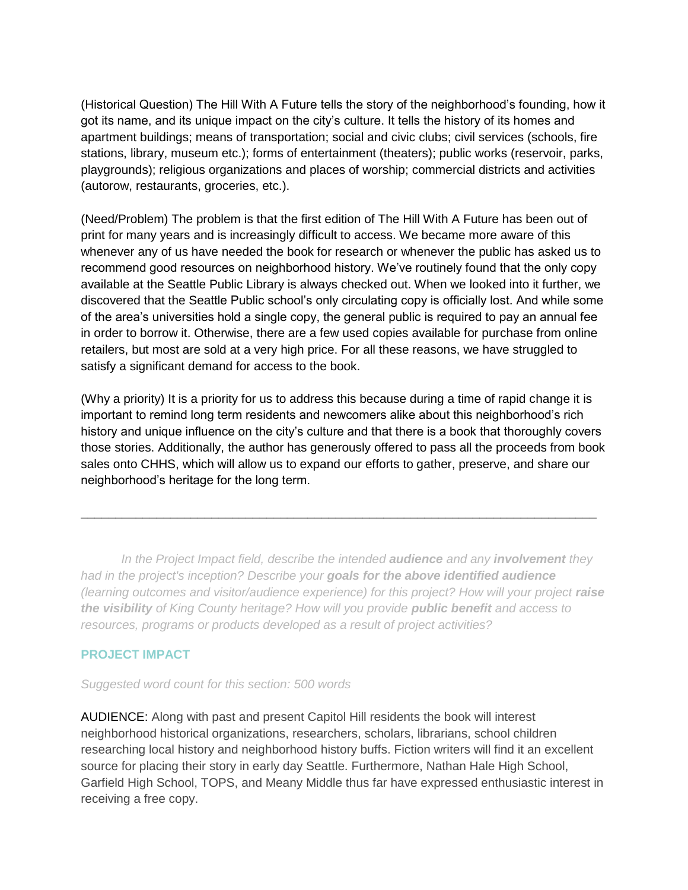(Historical Question) The Hill With A Future tells the story of the neighborhood's founding, how it got its name, and its unique impact on the city's culture. It tells the history of its homes and apartment buildings; means of transportation; social and civic clubs; civil services (schools, fire stations, library, museum etc.); forms of entertainment (theaters); public works (reservoir, parks, playgrounds); religious organizations and places of worship; commercial districts and activities (autorow, restaurants, groceries, etc.).

(Need/Problem) The problem is that the first edition of The Hill With A Future has been out of print for many years and is increasingly difficult to access. We became more aware of this whenever any of us have needed the book for research or whenever the public has asked us to recommend good resources on neighborhood history. We've routinely found that the only copy available at the Seattle Public Library is always checked out. When we looked into it further, we discovered that the Seattle Public school's only circulating copy is officially lost. And while some of the area's universities hold a single copy, the general public is required to pay an annual fee in order to borrow it. Otherwise, there are a few used copies available for purchase from online retailers, but most are sold at a very high price. For all these reasons, we have struggled to satisfy a significant demand for access to the book.

(Why a priority) It is a priority for us to address this because during a time of rapid change it is important to remind long term residents and newcomers alike about this neighborhood's rich history and unique influence on the city's culture and that there is a book that thoroughly covers those stories. Additionally, the author has generously offered to pass all the proceeds from book sales onto CHHS, which will allow us to expand our efforts to gather, preserve, and share our neighborhood's heritage for the long term.

**\_\_\_\_\_\_\_\_\_\_\_\_\_\_\_\_\_\_\_\_\_\_\_\_\_\_\_\_\_\_\_\_\_\_\_\_\_\_\_\_\_\_\_\_\_\_\_\_\_\_\_\_\_\_\_\_\_\_\_\_\_\_\_\_\_\_\_\_\_\_\_\_\_\_\_**

*In the Project Impact field, describe the intended audience and any involvement they had in the project's inception? Describe your goals for the above identified audience (learning outcomes and visitor/audience experience) for this project? How will your project raise the visibility of King County heritage? How will you provide public benefit and access to resources, programs or products developed as a result of project activities?*

## **PROJECT IMPACT**

*Suggested word count for this section: 500 words*

AUDIENCE: Along with past and present Capitol Hill residents the book will interest neighborhood historical organizations, researchers, scholars, librarians, school children researching local history and neighborhood history buffs. Fiction writers will find it an excellent source for placing their story in early day Seattle. Furthermore, Nathan Hale High School, Garfield High School, TOPS, and Meany Middle thus far have expressed enthusiastic interest in receiving a free copy.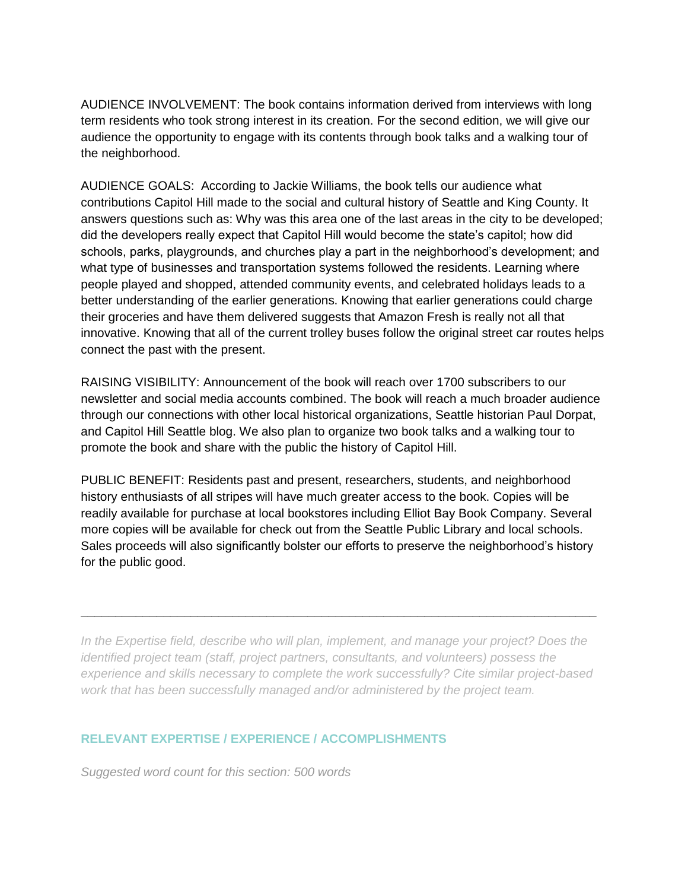AUDIENCE INVOLVEMENT: The book contains information derived from interviews with long term residents who took strong interest in its creation. For the second edition, we will give our audience the opportunity to engage with its contents through book talks and a walking tour of the neighborhood.

AUDIENCE GOALS: According to Jackie Williams, the book tells our audience what contributions Capitol Hill made to the social and cultural history of Seattle and King County. It answers questions such as: Why was this area one of the last areas in the city to be developed; did the developers really expect that Capitol Hill would become the state's capitol; how did schools, parks, playgrounds, and churches play a part in the neighborhood's development; and what type of businesses and transportation systems followed the residents. Learning where people played and shopped, attended community events, and celebrated holidays leads to a better understanding of the earlier generations. Knowing that earlier generations could charge their groceries and have them delivered suggests that Amazon Fresh is really not all that innovative. Knowing that all of the current trolley buses follow the original street car routes helps connect the past with the present.

RAISING VISIBILITY: Announcement of the book will reach over 1700 subscribers to our newsletter and social media accounts combined. The book will reach a much broader audience through our connections with other local historical organizations, Seattle historian Paul Dorpat, and Capitol Hill Seattle blog. We also plan to organize two book talks and a walking tour to promote the book and share with the public the history of Capitol Hill.

PUBLIC BENEFIT: Residents past and present, researchers, students, and neighborhood history enthusiasts of all stripes will have much greater access to the book. Copies will be readily available for purchase at local bookstores including Elliot Bay Book Company. Several more copies will be available for check out from the Seattle Public Library and local schools. Sales proceeds will also significantly bolster our efforts to preserve the neighborhood's history for the public good.

*In the Expertise field, describe who will plan, implement, and manage your project? Does the identified project team (staff, project partners, consultants, and volunteers) possess the experience and skills necessary to complete the work successfully? Cite similar project-based work that has been successfully managed and/or administered by the project team.*

**\_\_\_\_\_\_\_\_\_\_\_\_\_\_\_\_\_\_\_\_\_\_\_\_\_\_\_\_\_\_\_\_\_\_\_\_\_\_\_\_\_\_\_\_\_\_\_\_\_\_\_\_\_\_\_\_\_\_\_\_\_\_\_\_\_\_\_\_\_\_\_\_\_\_\_**

### **RELEVANT EXPERTISE / EXPERIENCE / ACCOMPLISHMENTS**

*Suggested word count for this section: 500 words*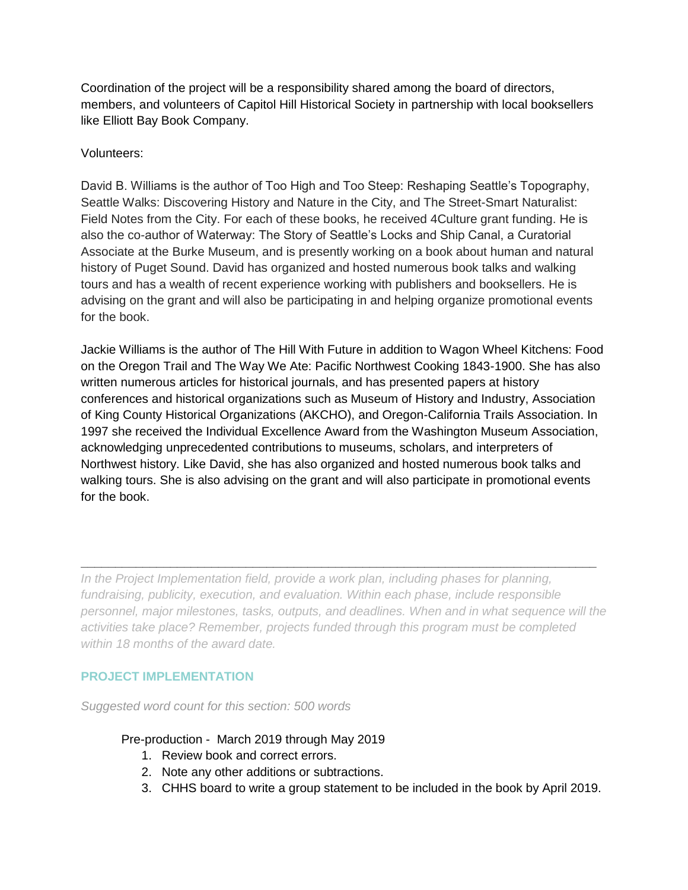Coordination of the project will be a responsibility shared among the board of directors, members, and volunteers of Capitol Hill Historical Society in partnership with local booksellers like Elliott Bay Book Company.

### Volunteers:

David B. Williams is the author of Too High and Too Steep: Reshaping Seattle's Topography, Seattle Walks: Discovering History and Nature in the City, and The Street-Smart Naturalist: Field Notes from the City. For each of these books, he received 4Culture grant funding. He is also the co-author of Waterway: The Story of Seattle's Locks and Ship Canal, a Curatorial Associate at the Burke Museum, and is presently working on a book about human and natural history of Puget Sound. David has organized and hosted numerous book talks and walking tours and has a wealth of recent experience working with publishers and booksellers. He is advising on the grant and will also be participating in and helping organize promotional events for the book.

Jackie Williams is the author of The Hill With Future in addition to Wagon Wheel Kitchens: Food on the Oregon Trail and The Way We Ate: Pacific Northwest Cooking 1843-1900. She has also written numerous articles for historical journals, and has presented papers at history conferences and historical organizations such as Museum of History and Industry, Association of King County Historical Organizations (AKCHO), and Oregon-California Trails Association. In 1997 she received the Individual Excellence Award from the Washington Museum Association, acknowledging unprecedented contributions to museums, scholars, and interpreters of Northwest history. Like David, she has also organized and hosted numerous book talks and walking tours. She is also advising on the grant and will also participate in promotional events for the book.

*In the Project Implementation field, provide a work plan, including phases for planning, fundraising, publicity, execution, and evaluation. Within each phase, include responsible personnel, major milestones, tasks, outputs, and deadlines. When and in what sequence will the activities take place? Remember, projects funded through this program must be completed within 18 months of the award date.*

**\_\_\_\_\_\_\_\_\_\_\_\_\_\_\_\_\_\_\_\_\_\_\_\_\_\_\_\_\_\_\_\_\_\_\_\_\_\_\_\_\_\_\_\_\_\_\_\_\_\_\_\_\_\_\_\_\_\_\_\_\_\_\_\_\_\_\_\_\_\_\_\_\_\_\_**

## **PROJECT IMPLEMENTATION**

*Suggested word count for this section: 500 words*

## Pre-production - March 2019 through May 2019

- 1. Review book and correct errors.
- 2. Note any other additions or subtractions.
- 3. CHHS board to write a group statement to be included in the book by April 2019.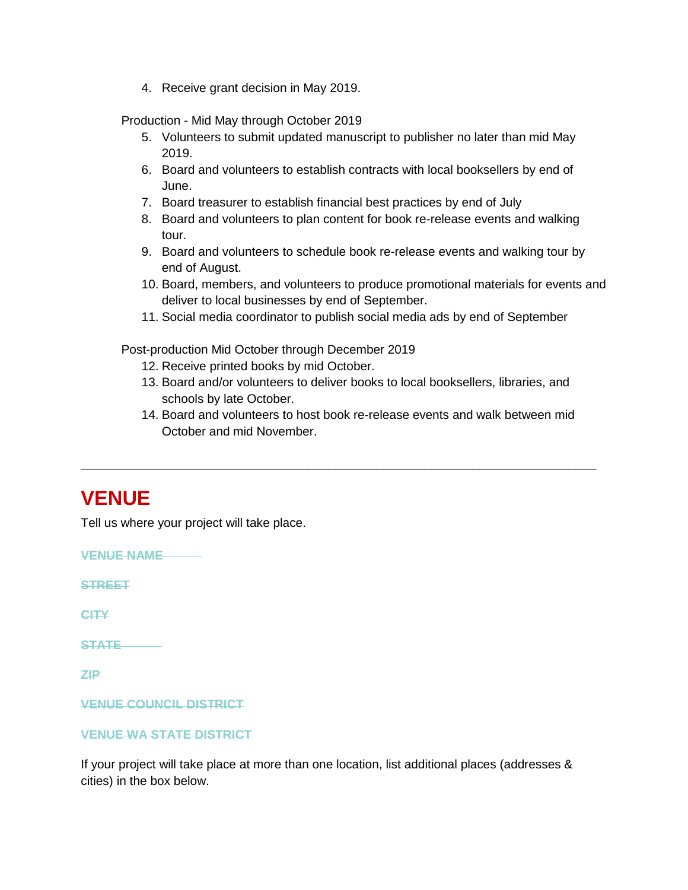4. Receive grant decision in May 2019.

Production - Mid May through October 2019

- 5. Volunteers to submit updated manuscript to publisher no later than mid May 2019.
- 6. Board and volunteers to establish contracts with local booksellers by end of June.
- 7. Board treasurer to establish financial best practices by end of July
- 8. Board and volunteers to plan content for book re-release events and walking tour.
- 9. Board and volunteers to schedule book re-release events and walking tour by end of August.
- 10. Board, members, and volunteers to produce promotional materials for events and deliver to local businesses by end of September.
- 11. Social media coordinator to publish social media ads by end of September

Post-production Mid October through December 2019

- 12. Receive printed books by mid October.
- 13. Board and/or volunteers to deliver books to local booksellers, libraries, and schools by late October.
- 14. Board and volunteers to host book re-release events and walk between mid October and mid November.

**\_\_\_\_\_\_\_\_\_\_\_\_\_\_\_\_\_\_\_\_\_\_\_\_\_\_\_\_\_\_\_\_\_\_\_\_\_\_\_\_\_\_\_\_\_\_\_\_\_\_\_\_\_\_\_\_\_\_\_\_\_\_\_\_\_\_\_\_\_\_\_\_\_\_\_**

# **VENUE**

Tell us where your project will take place.

**VENUE NAME** 

**STREET**

**CITY**

**STATE** 

**ZIP**

**VENUE COUNCIL DISTRICT**

#### **VENUE WA STATE DISTRICT**

If your project will take place at more than one location, list additional places (addresses & cities) in the box below.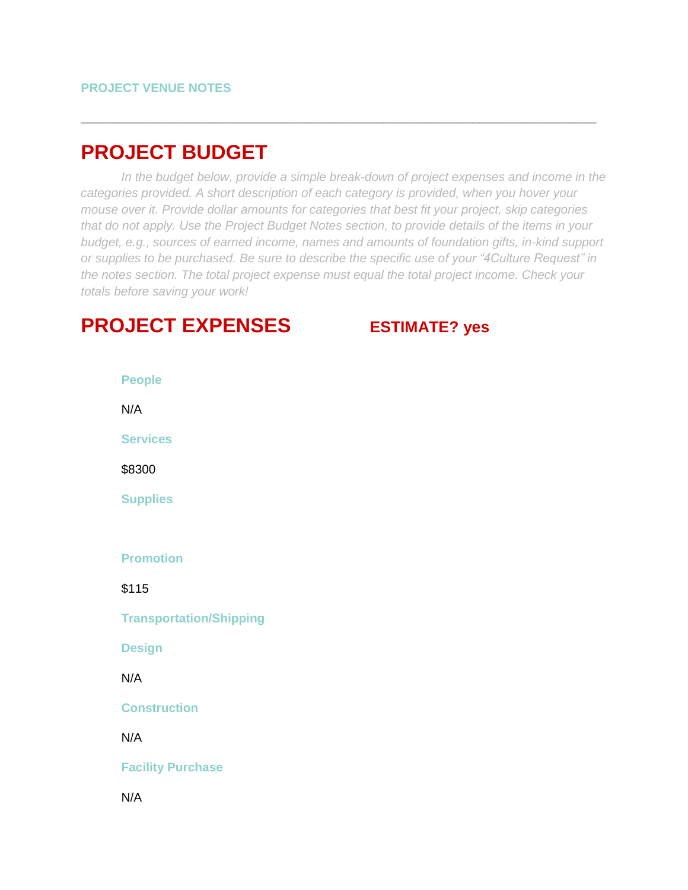# **PROJECT BUDGET**

*In the budget below, provide a simple break-down of project expenses and income in the categories provided. A short description of each category is provided, when you hover your mouse over it. Provide dollar amounts for categories that best fit your project, skip categories that do not apply. Use the Project Budget Notes section, to provide details of the items in your budget, e.g., sources of earned income, names and amounts of foundation gifts, in-kind support or supplies to be purchased. Be sure to describe the specific use of your "4Culture Request" in the notes section. The total project expense must equal the total project income. Check your totals before saving your work!*

**\_\_\_\_\_\_\_\_\_\_\_\_\_\_\_\_\_\_\_\_\_\_\_\_\_\_\_\_\_\_\_\_\_\_\_\_\_\_\_\_\_\_\_\_\_\_\_\_\_\_\_\_\_\_\_\_\_\_\_\_\_\_\_\_\_\_\_\_\_\_\_\_\_\_\_**

# **PROJECT EXPENSES ESTIMATE? yes**

| <b>People</b>                  |
|--------------------------------|
| N/A                            |
| <b>Services</b>                |
| \$8300                         |
| <b>Supplies</b>                |
|                                |
| <b>Promotion</b>               |
| \$115                          |
| <b>Transportation/Shipping</b> |
| <b>Design</b>                  |
| N/A                            |
| <b>Construction</b>            |
| N/A                            |
| <b>Facility Purchase</b>       |
| N/A                            |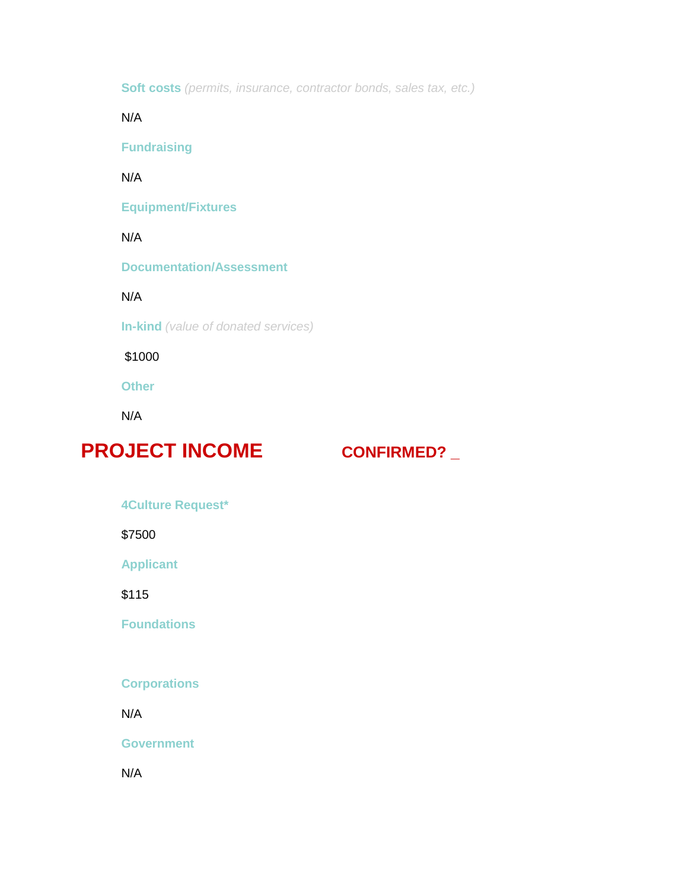**Soft costs** *(permits, insurance, contractor bonds, sales tax, etc.)*

N/A

**Fundraising** 

N/A

**Equipment/Fixtures** 

N/A

**Documentation/Assessment**

N/A

**In-kind** *(value of donated services)*

\$1000

**Other**

N/A

# **PROJECT INCOME CONFIRMED?**

**4Culture Request\*** 

\$7500

**Applicant** 

\$115

**Foundations** 

**Corporations** 

N/A

**Government** 

N/A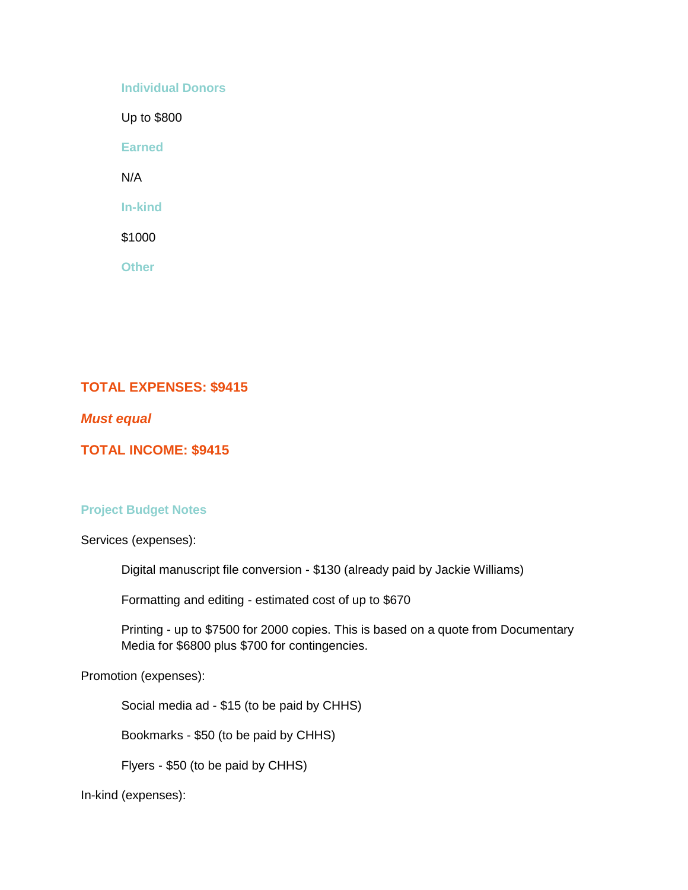**Individual Donors**  Up to \$800 **Earned**  N/A **In-kind**  \$1000 **Other** 

# **TOTAL EXPENSES: \$9415**

#### *Must equal*

**TOTAL INCOME: \$9415**

#### **Project Budget Notes**

Services (expenses):

Digital manuscript file conversion - \$130 (already paid by Jackie Williams)

Formatting and editing - estimated cost of up to \$670

Printing - up to \$7500 for 2000 copies. This is based on a quote from Documentary Media for \$6800 plus \$700 for contingencies.

Promotion (expenses):

Social media ad - \$15 (to be paid by CHHS)

Bookmarks - \$50 (to be paid by CHHS)

Flyers - \$50 (to be paid by CHHS)

In-kind (expenses):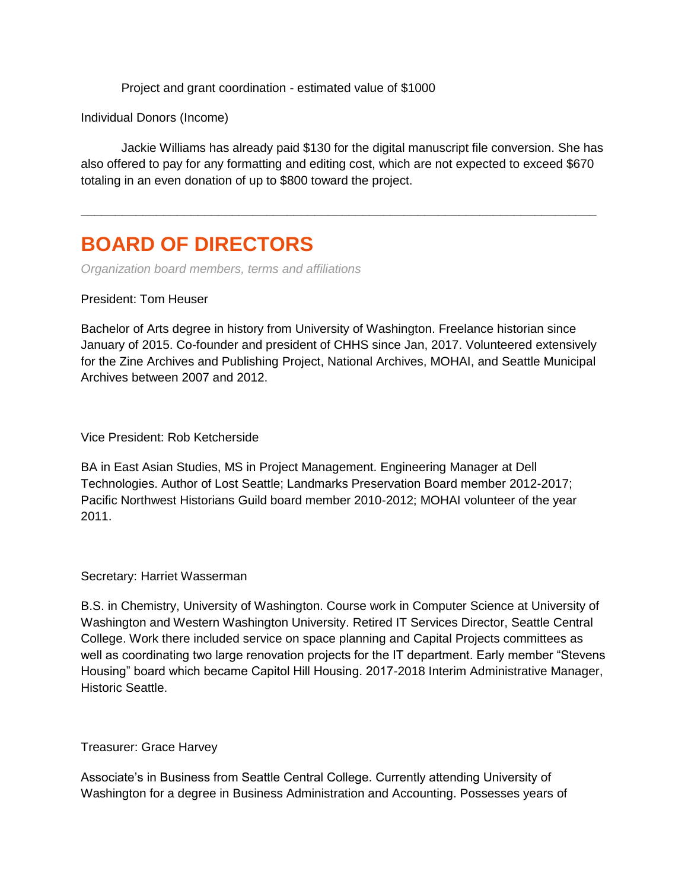Project and grant coordination - estimated value of \$1000

Individual Donors (Income)

Jackie Williams has already paid \$130 for the digital manuscript file conversion. She has also offered to pay for any formatting and editing cost, which are not expected to exceed \$670 totaling in an even donation of up to \$800 toward the project.

**\_\_\_\_\_\_\_\_\_\_\_\_\_\_\_\_\_\_\_\_\_\_\_\_\_\_\_\_\_\_\_\_\_\_\_\_\_\_\_\_\_\_\_\_\_\_\_\_\_\_\_\_\_\_\_\_\_\_\_\_\_\_\_\_\_\_\_\_\_\_\_\_\_\_\_**

# **BOARD OF DIRECTORS**

*Organization board members, terms and affiliations*

President: Tom Heuser

Bachelor of Arts degree in history from University of Washington. Freelance historian since January of 2015. Co-founder and president of CHHS since Jan, 2017. Volunteered extensively for the Zine Archives and Publishing Project, National Archives, MOHAI, and Seattle Municipal Archives between 2007 and 2012.

Vice President: Rob Ketcherside

BA in East Asian Studies, MS in Project Management. Engineering Manager at Dell Technologies. Author of Lost Seattle; Landmarks Preservation Board member 2012-2017; Pacific Northwest Historians Guild board member 2010-2012; MOHAI volunteer of the year 2011.

Secretary: Harriet Wasserman

B.S. in Chemistry, University of Washington. Course work in Computer Science at University of Washington and Western Washington University. Retired IT Services Director, Seattle Central College. Work there included service on space planning and Capital Projects committees as well as coordinating two large renovation projects for the IT department. Early member "Stevens Housing" board which became Capitol Hill Housing. 2017-2018 Interim Administrative Manager, Historic Seattle.

Treasurer: Grace Harvey

Associate's in Business from Seattle Central College. Currently attending University of Washington for a degree in Business Administration and Accounting. Possesses years of